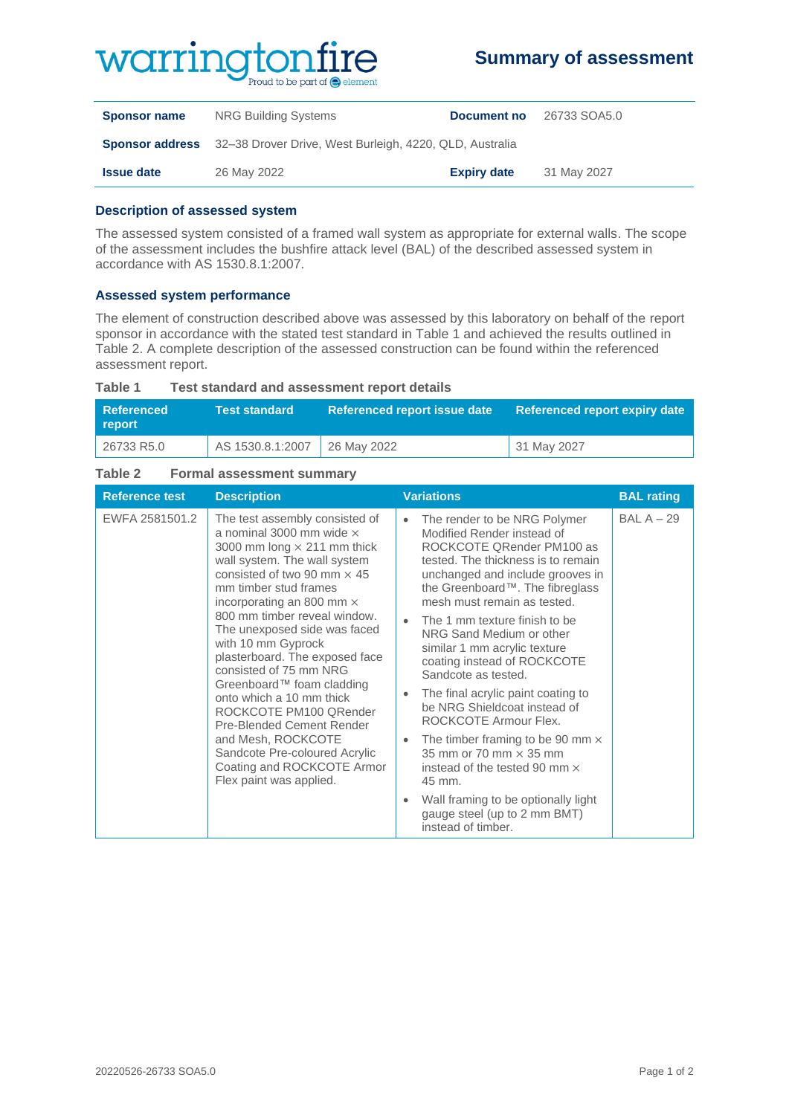## WOITING  $\mathbf{u}$  and to be part of  $\mathbf{\odot}$  element

### **Summary of assessment**

| <b>Sponsor name</b> | NRG Building Systems                                                           | Document no        | 26733 SOA5.0 |
|---------------------|--------------------------------------------------------------------------------|--------------------|--------------|
|                     | <b>Sponsor address</b> 32–38 Drover Drive, West Burleigh, 4220, QLD, Australia |                    |              |
| <b>Issue date</b>   | 26 May 2022                                                                    | <b>Expiry date</b> | 31 May 2027  |

#### **Description of assessed system**

The assessed system consisted of a framed wall system as appropriate for external walls. The scope of the assessment includes the bushfire attack level (BAL) of the described assessed system in accordance with AS 1530.8.1:2007.

#### **Assessed system performance**

The element of construction described above was assessed by this laboratory on behalf of the report sponsor in accordance with the stated test standard in Table 1 and achieved the results outlined in Table 2. A complete description of the assessed construction can be found within the referenced assessment report.

| l Referenced<br>report | Test standard <b>\</b>         | Referenced report issue date | Referenced report expiry date |
|------------------------|--------------------------------|------------------------------|-------------------------------|
| 26733 R5.0             | AS 1530.8.1:2007   26 May 2022 |                              | 31 May 2027                   |

#### **Table 1 Test standard and assessment report details**

#### **Table 2 Formal assessment summary**

| <b>Reference test</b> | <b>Description</b>                                                                                                                                                                                                                                                                                                                                                                                                                                                                                                                                                                                                           | <b>Variations</b>                                                                                                                                                                                                                                                                                                                                                                                                                                                                                                                                                                                                                                                                                                                                                                 | <b>BAL rating</b> |
|-----------------------|------------------------------------------------------------------------------------------------------------------------------------------------------------------------------------------------------------------------------------------------------------------------------------------------------------------------------------------------------------------------------------------------------------------------------------------------------------------------------------------------------------------------------------------------------------------------------------------------------------------------------|-----------------------------------------------------------------------------------------------------------------------------------------------------------------------------------------------------------------------------------------------------------------------------------------------------------------------------------------------------------------------------------------------------------------------------------------------------------------------------------------------------------------------------------------------------------------------------------------------------------------------------------------------------------------------------------------------------------------------------------------------------------------------------------|-------------------|
| EWFA 2581501.2        | The test assembly consisted of<br>a nominal 3000 mm wide $\times$<br>3000 mm long $\times$ 211 mm thick<br>wall system. The wall system<br>consisted of two 90 mm $\times$ 45<br>mm timber stud frames<br>incorporating an 800 mm $\times$<br>800 mm timber reveal window.<br>The unexposed side was faced<br>with 10 mm Gyprock<br>plasterboard. The exposed face<br>consisted of 75 mm NRG<br>Greenboard™ foam cladding<br>onto which a 10 mm thick<br>ROCKCOTE PM100 QRender<br>Pre-Blended Cement Render<br>and Mesh, ROCKCOTE<br>Sandcote Pre-coloured Acrylic<br>Coating and ROCKCOTE Armor<br>Flex paint was applied. | The render to be NRG Polymer<br>$\bullet$<br>Modified Render instead of<br>ROCKCOTE QRender PM100 as<br>tested. The thickness is to remain<br>unchanged and include grooves in<br>the Greenboard™. The fibreglass<br>mesh must remain as tested.<br>The 1 mm texture finish to be<br>$\bullet$<br>NRG Sand Medium or other<br>similar 1 mm acrylic texture<br>coating instead of ROCKCOTE<br>Sandcote as tested.<br>The final acrylic paint coating to<br>$\bullet$<br>be NRG Shieldcoat instead of<br>ROCKCOTE Armour Flex.<br>The timber framing to be 90 mm $\times$<br>$\bullet$<br>35 mm or 70 mm $\times$ 35 mm<br>instead of the tested 90 mm $\times$<br>45 mm.<br>Wall framing to be optionally light<br>$\bullet$<br>gauge steel (up to 2 mm BMT)<br>instead of timber. | $BAL A - 29$      |